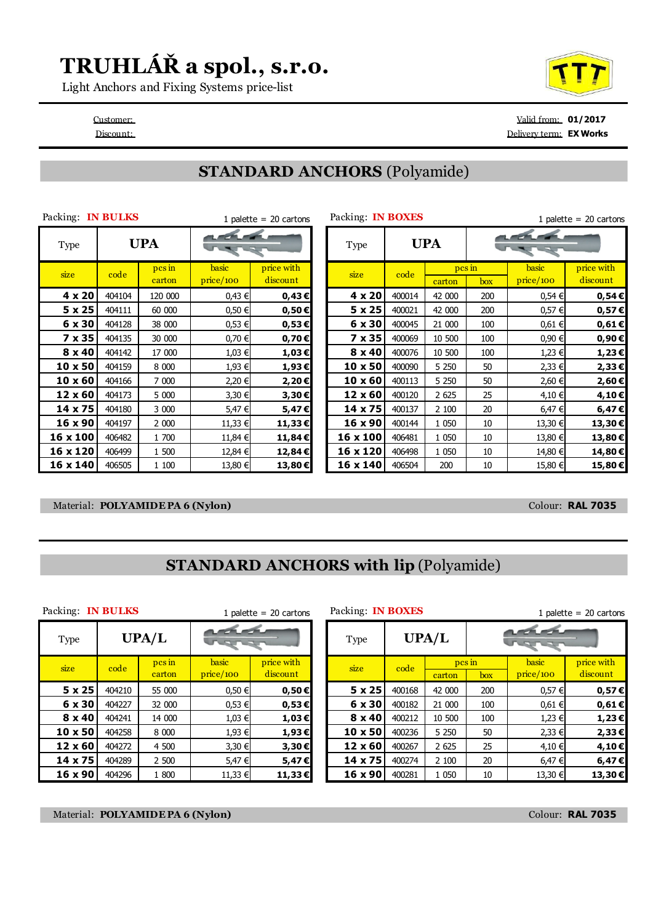### **TRUHLÁŘ a spol., s.r.o.**

Light Anchors and Fixing Systems price-list

Customer: Valid from: **01/2017** Discount: Delivery term: **EX Works**

#### **STANDARD ANCHORS** (Polyamide)

| Packing: IN BULKS | Packing: IN BOXES |                             | 1 palette = $20$ cartons    |                        |               |        |                        |     |                           |                        |  |  |
|-------------------|-------------------|-----------------------------|-----------------------------|------------------------|---------------|--------|------------------------|-----|---------------------------|------------------------|--|--|
| <b>Type</b>       | <b>UPA</b>        |                             | <b>LELE</b><br><b>STATE</b> |                        | Type          |        | <b>UPA</b>             |     | <b>LELEN</b>              |                        |  |  |
| size              | code              | $\n  pc \n  in\n$<br>carton | basic<br>price/100          | price with<br>discount | size          | code   | $\n  pcs$ in<br>carton | box | <b>basic</b><br>price/100 | price with<br>discount |  |  |
| 4 x 20            | 404104            | 120 000                     | 0,43 €                      | $0,43 \in$             | 4 x 20        | 400014 | 42 000                 | 200 | 0,54 €                    | 0,54€                  |  |  |
| $5 \times 25$     | 404111            | 60 000                      | $0,50 \in$                  | $0,50 \in$             | $5 \times 25$ | 400021 | 42 000                 | 200 | 0,57€                     | 0,57€                  |  |  |
| 6 x 30            | 404128            | 38 000                      | 0,53 €                      | $0,53 \in$             | 6 x 30        | 400045 | 21 000                 | 100 | 0,61€                     | 0,61€                  |  |  |
| 7 x 35            | 404135            | 30 000                      | 0,70 €                      | $0,70 \in$             | 7 x 35        | 400069 | 10 500                 | 100 | 0,90 €                    | 0,90€                  |  |  |
| $8 \times 40$     | 404142            | 17 000                      | 1,03 €                      | 1,03€                  | $8 \times 40$ | 400076 | 10 500                 | 100 | 1,23 €                    | 1,23€                  |  |  |
| 10 x 50           | 404159            | 8 0 0 0                     | 1,93 €                      | 1,93€                  | 10 x 50       | 400090 | 5 2 5 0                | 50  | 2,33 €                    | 2,33€                  |  |  |
| $10 \times 60$    | 404166            | 7 000                       | 2,20 €                      | 2,20€                  | 10 x 60       | 400113 | 5 250                  | 50  | 2,60 €                    | 2,60€                  |  |  |
| 12 x 60           | 404173            | 5 000                       | 3,30 €                      | 3,30€                  | 12 x 60       | 400120 | 2 6 2 5                | 25  | 4,10 €                    | 4,10€                  |  |  |
| 14 x 75           | 404180            | 3 000                       | 5,47 €                      | 5,47€                  | 14 x 75       | 400137 | 2 100                  | 20  | 6,47 €                    | 6,47€                  |  |  |
| 16 x 90           | 404197            | 2 000                       | 11,33 €                     | 11,33 €                | 16 x 90       | 400144 | 1 0 5 0                | 10  | 13,30 €                   | 13,30€                 |  |  |
| 16 x 100          | 406482            | 1 700                       | 11,84 €                     | 11,84 €                | 16 x 100      | 406481 | 1 0 5 0                | 10  | 13,80 €                   | 13,80€                 |  |  |
| 16 x 120          | 406499            | 1 500                       | 12,84 €                     | 12,84€                 | 16 x 120      | 406498 | 1 050                  | 10  | 14,80 €                   | 14,80€                 |  |  |
| 16 x 140          | 406505            | 1 100                       | 13,80 €                     | 13,80 €                | 16 x 140      | 406504 | 200                    | 10  | 15,80 €                   | 15,80€                 |  |  |

| ICKHIG. IN DULINO |            |                  | 1 palette $=$ 20 cartons |                        |  | <b>FAUNILLY, IN DUAL O</b> |            |                 | 1 palette = $20$ cartons                                                                                                                                                                                                                                                                                                                                                                                                     |                    |                        |  |
|-------------------|------------|------------------|--------------------------|------------------------|--|----------------------------|------------|-----------------|------------------------------------------------------------------------------------------------------------------------------------------------------------------------------------------------------------------------------------------------------------------------------------------------------------------------------------------------------------------------------------------------------------------------------|--------------------|------------------------|--|
| <b>Type</b>       | <b>UPA</b> |                  | <b>LEEL</b>              |                        |  | Type                       | <b>UPA</b> |                 | $\begin{array}{c} \n\mathbf{1} & \mathbf{1} & \mathbf{1} & \mathbf{1} & \mathbf{1} & \mathbf{1} & \mathbf{1} & \mathbf{1} & \mathbf{1} & \mathbf{1} & \mathbf{1} & \mathbf{1} & \mathbf{1} & \mathbf{1} & \mathbf{1} & \mathbf{1} & \mathbf{1} & \mathbf{1} & \mathbf{1} & \mathbf{1} & \mathbf{1} & \mathbf{1} & \mathbf{1} & \mathbf{1} & \mathbf{1} & \mathbf{1} & \mathbf{1} & \mathbf{1} & \mathbf{1} & \mathbf{1} & \$ |                    |                        |  |
| size              | code       | pcs in<br>carton | basic<br>price/100       | price with<br>discount |  | size                       | code       | pesin<br>carton | box                                                                                                                                                                                                                                                                                                                                                                                                                          | basic<br>price/100 | price with<br>discount |  |
| 4 x 20            | 404104     | 120 000          | 0,43 €                   | $0,43 \in$             |  | 4 x 20                     | 400014     | 42 000          | 200                                                                                                                                                                                                                                                                                                                                                                                                                          | 0,54€              | $0,54 \in$             |  |
| $5 \times 25$     | 404111     | 60 000           | $0,50 \in$               | $0,50 \in$             |  | $5 \times 25$              | 400021     | 42 000          | 200                                                                                                                                                                                                                                                                                                                                                                                                                          | 0,57€              | 0,57E                  |  |
| 6 x 30            | 404128     | 38 000           | 0,53 €                   | $0,53 \in$             |  | 6 x 30                     | 400045     | 21 000          | 100                                                                                                                                                                                                                                                                                                                                                                                                                          | 0,61€              | $0,61 \in$             |  |
| 7 x 35            | 404135     | 30 000           | 0,70 €                   | $0,70 \in$             |  | 7 x 35                     | 400069     | 10 500          | 100                                                                                                                                                                                                                                                                                                                                                                                                                          | 0,90 €             | $0,90 \in$             |  |
| $8 \times 40$     | 404142     | 17 000           | 1,03 €                   | 1,03€                  |  | $8 \times 40$              | 400076     | 10 500          | 100                                                                                                                                                                                                                                                                                                                                                                                                                          | 1,23 €             | 1,23€                  |  |
| 10 x 50           | 404159     | 8 0 0 0          | 1,93 €                   | 1,93€                  |  | 10 x 50                    | 400090     | 5 2 5 0         | 50                                                                                                                                                                                                                                                                                                                                                                                                                           | 2,33 €             | 2,33€                  |  |
| $10 \times 60$    | 404166     | 7 000            | 2,20 €                   | 2,20€                  |  | $10 \times 60$             | 400113     | 5 2 5 0         | 50                                                                                                                                                                                                                                                                                                                                                                                                                           | 2,60 €             | 2,60€                  |  |
| $12 \times 60$    | 404173     | 5 000            | 3,30 €                   | 3,30€                  |  | 12 x 60                    | 400120     | 2 6 2 5         | 25                                                                                                                                                                                                                                                                                                                                                                                                                           | 4,10 €             | 4,10€                  |  |
| 14 x 75           | 404180     | 3 000            | 5,47 €                   | 5,47€                  |  | 14 x 75                    | 400137     | 2 100           | 20                                                                                                                                                                                                                                                                                                                                                                                                                           | 6,47 €             | 6,47€                  |  |
| 16 x 90           | 404197     | 2 000            | 11,33 €                  | 11,33€                 |  | 16 x 90                    | 400144     | 1 0 5 0         | 10                                                                                                                                                                                                                                                                                                                                                                                                                           | 13,30 €            | 13,30€                 |  |
| 16 x 100          | 406482     | 1 700            | 11,84 €                  | 11,84€                 |  | 16 x 100                   | 406481     | 1 0 5 0         | 10                                                                                                                                                                                                                                                                                                                                                                                                                           | 13,80 €            | 13,80€                 |  |
| 16 x 120          | 406499     | 1 500            | 12,84 €                  | 12,84€                 |  | 16 x 120                   | 406498     | 1 0 5 0         | 10                                                                                                                                                                                                                                                                                                                                                                                                                           | 14,80 €            | 14,80€                 |  |
| 16 x 140          | 406505     | 1 100            | 13,80 €                  | 13,80 €                |  | 16 x 140                   | 406504     | 200             | 10                                                                                                                                                                                                                                                                                                                                                                                                                           | 15,80 €            | 15,80€                 |  |

#### Material: **POLYAMIDE PA 6 (Nylon)** Colour: **RAL 7035**

#### **STANDARD ANCHORS with lip** (Polyamide)

Packing: **IN BULKS** 1 palette = 20 cartons Packing: **IN BOXES** 1 palette = 20 cartons

| Type          | UPA/L  |                  |              |                                | <b>Type</b>    | UPA/L  |         | m<br><u>nara</u> |            |          |
|---------------|--------|------------------|--------------|--------------------------------|----------------|--------|---------|------------------|------------|----------|
| size          | code   | pcs in<br>carton | <b>basic</b> | price with<br>size<br>discount | code           | pcs in |         | <b>basic</b>     | price with |          |
|               |        |                  | price/100    |                                |                |        | carton  | box              | price/100  | discount |
| $5 \times 25$ | 404210 | 55 000           | $0,50 \in$   | $0,50 \in$                     | 5x25           | 400168 | 42 000  | 200              | $0,57 \in$ | 0,57€    |
| 6 x 30        | 404227 | 32 000           | $0,53 \in$   | $0,53 \in$                     | 6 x 30         | 400182 | 21 000  | 100              | $0,61 \in$ | 0,61€    |
| $8 \times 40$ | 404241 | 14 000           | 1,03 €       | 1,03€                          | $8 \times 40$  | 400212 | 10 500  | 100              | 1,23 €     | 1,23€    |
| 10 x 50       | 404258 | 8 0 0 0          | 1,93 €       | 1,93€                          | $10 \times 50$ | 400236 | 5 2 5 0 | 50               | $2,33 \in$ | 2,33€    |
| 12 x 60       | 404272 | 4 500            | 3,30 €       | 3,30€                          | $12 \times 60$ | 400267 | 2 6 2 5 | 25               | 4,10 €     | 4,10€    |
| 14 x 75       | 404289 | 2 500            | 5,47 €       | 5,47€                          | 14 x 75        | 400274 | 2 100   | 20               | 6,47 €     | 6,47€    |
| 16 x 90       | 404296 | 1 800            | 11,33 €      | 11,33 €                        | 16 x 90        | 400281 | 1 0 5 0 | 10               | 13,30 €    | 13,30€   |

Material: **POLYAMIDE PA 6 (Nylon)** Colour: **RAL 7035**

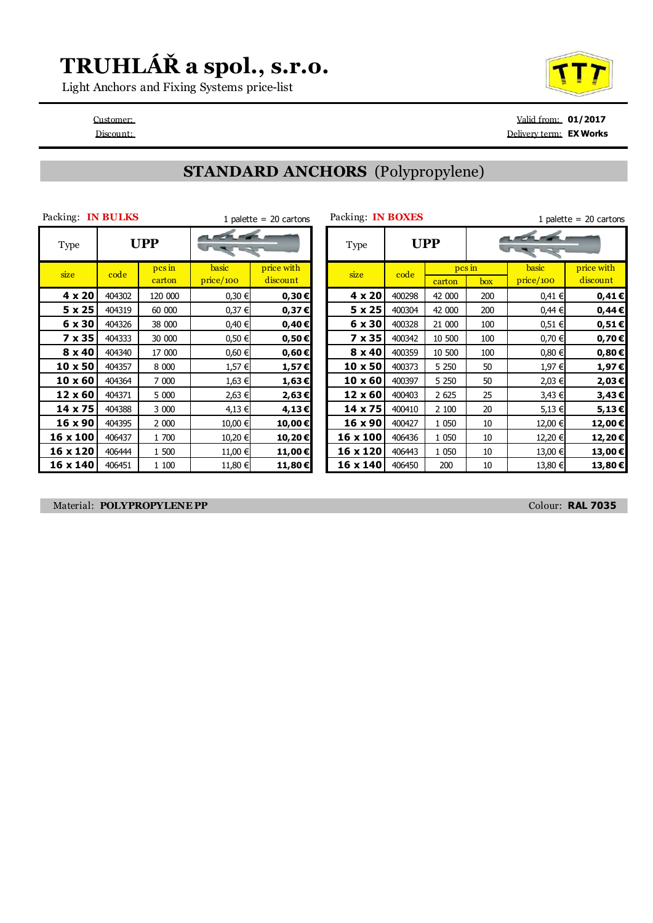# **TRUHLÁŘ a spol., s.r.o.**

Light Anchors and Fixing Systems price-list

Customer: Valid from: **01/2017** Discount: Delivery term: **EX Works**

### **STANDARD ANCHORS** (Polypropylene)

| Packing:       | IN BULKS   |                  |                    | 1 palette = $20$ cartons | Packing: IN BOXES |            |                |  |
|----------------|------------|------------------|--------------------|--------------------------|-------------------|------------|----------------|--|
| <b>Type</b>    | <b>UPP</b> |                  |                    |                          | <b>Type</b>       | <b>UPP</b> |                |  |
| size           | code       | pcs in<br>carton | basic<br>price/100 | price with<br>discount   | size              | code       | c <sub>i</sub> |  |
| $4 \times 20$  | 404302     | 120 000          | 0,30€              | $0,30 \in$               | $4 \times 20$     | 400298     | 4              |  |
| 5 x 25         | 404319     | 60 000           | 0,37 €             | 0,37E                    | 5 x 25            | 400304     | 4              |  |
| 6 x 30         | 404326     | 38 000           | 0,40 €             | $0,40 \in$               | 6 x 30            | 400328     | 2:             |  |
| 7 x 35         | 404333     | 30 000           | 0,50€              | $0,50 \in$               | 7 x 35            | 400342     | 1(             |  |
| 8 x 40         | 404340     | 17 000           | $0,60 \in$         | $0,60 \in$               | $8 \times 40$     | 400359     | 10             |  |
| $10 \times 50$ | 404357     | 8 0 0 0          | 1,57 €             | 1,57€                    | 10 x 50           | 400373     | 5              |  |
| $10 \times 60$ | 404364     | 7 000            | 1,63 €             | 1,63€                    | 10 x 60           | 400397     | 5              |  |
| 12 x 60        | 404371     | 5 000            | 2,63 €             | 2,63€                    | 12 x 60           | 400403     | 2              |  |
| 14 x 75        | 404388     | 3 000            | 4,13 €             | 4,13€                    | 14 x 75           | 400410     | 2              |  |
| 16 x 90        | 404395     | 2 000            | 10,00 €            | 10,00€                   | 16 x 90           | 400427     |                |  |
| 16 x 100       | 406437     | 1 700            | 10,20 €            | 10,20€                   | 16 x 100          | 406436     |                |  |
| 16 x 120       | 406444     | 1 500            | 11,00 €            | 11,00€                   | 16 x 120          | 406443     |                |  |
| 16 x 140       | 406451     | 1 100            | 11,80 €            | 11,80€                   | 16 x 140          | 406450     |                |  |

| Packing: <b>IN BULKS</b> |        |                        |                    | 1 palette = $20$ cartons | Packing: IN BOXES |            |                    |               | 1 palette = $20$ cartons |                        |  |  |
|--------------------------|--------|------------------------|--------------------|--------------------------|-------------------|------------|--------------------|---------------|--------------------------|------------------------|--|--|
| Type                     |        | <b>UPP</b>             | <b>LEELER</b>      |                          | Type              | <b>UPP</b> |                    | $\frac{1}{2}$ |                          |                        |  |  |
| size                     | code   | $\n  pcs$ in<br>carton | basic<br>price/100 | price with<br>discount   | size              | code       | $pcs$ in<br>carton | box           | basic<br>price/100       | price with<br>discount |  |  |
| 4 x 20                   | 404302 | 120 000                | 0,30€              | 0,30€                    | 4 x 20            | 400298     | 42 000             | 200           | 0,41€                    | 0,41€                  |  |  |
| $5 \times 25$            | 404319 | 60 000                 | 0,37 €             | 0,37E                    | 5 x 25            | 400304     | 42 000             | 200           | $0,44 \in$               | $0,44 \in$             |  |  |
| 6 x 30                   | 404326 | 38 000                 | 0,40 €             | 0,40€                    | 6 x 30            | 400328     | 21 000             | 100           | 0,51€                    | $0,51 \in$             |  |  |
| 7 x 35                   | 404333 | 30 000                 | $0,50 \in$         | $0,50 \in$               | 7 x 35            | 400342     | 10 500             | 100           | $0,70 \in$               | $0,70 \in$             |  |  |
| 8 x 40                   | 404340 | 17 000                 | $0,60 \in$         | $0,60 \in$               | $8 \times 40$     | 400359     | 10 500             | 100           | $0,80 \in$               | $0,80 \in$             |  |  |
| 10 x 50                  | 404357 | 8 0 0 0                | 1,57 €             | $1,57 \in$               | $10 \times 50$    | 400373     | 5 2 5 0            | 50            | 1,97 €                   | 1,97€                  |  |  |
| $10 \times 60$           | 404364 | 7 000                  | 1,63 €             | 1,63€                    | $10 \times 60$    | 400397     | 5 2 5 0            | 50            | 2,03 €                   | 2,03€                  |  |  |
| $12 \times 60$           | 404371 | 5 000                  | 2,63 €             | 2,63€                    | 12 x 60           | 400403     | 2 6 2 5            | 25            | 3,43 €                   | 3,43€                  |  |  |
| 14 x 75                  | 404388 | 3 000                  | 4,13 €             | 4,13€                    | 14 x 75           | 400410     | 2 100              | 20            | 5,13 €                   | 5,13€                  |  |  |
| 16 x 90                  | 404395 | 2 000                  | 10,00 €            | 10,00€                   | 16 x 90           | 400427     | 1 0 5 0            | 10            | 12,00 €                  | 12,00 €                |  |  |
| 16 x 100                 | 406437 | 1 700                  | 10,20 €            | 10,20€                   | 16 x 100          | 406436     | 1 0 5 0            | 10            | 12,20 €                  | 12,20€                 |  |  |
| 16 x 120                 | 406444 | 1 500                  | 11,00 €            | 11,00 €                  | 16 x 120          | 406443     | 1 050              | 10            | 13,00 €                  | 13,00€                 |  |  |
| $16 \times 140$          | 406451 | 1 100                  | 11,80 €            | 11,80 €                  | 16 x 140          | 406450     | 200                | 10            | 13,80 €                  | 13,80€                 |  |  |

Material: **POLYPROPYLENE PP** Colour: **RAL 7035**